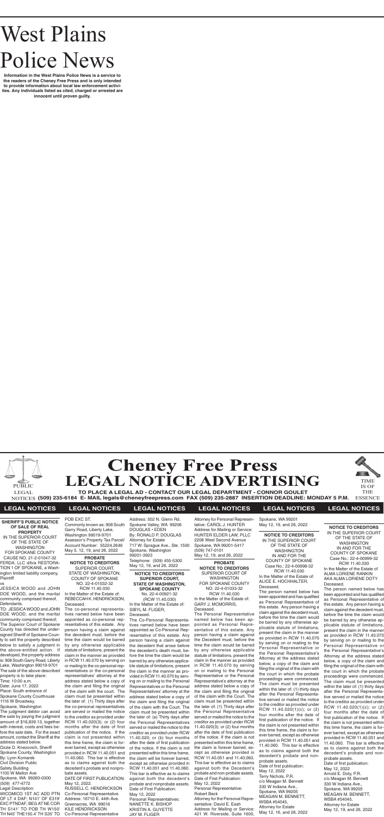# West Plains Police News

**Information in the West Plains Police News is a service to the readers of the Cheney Free Press and is only intended to provide information about local law enforcement activities. Any individuals listed as cited, charged or arrested are innocent until proven guilty.**





#### **SHERIFF'S PUBLIC NOTICE OF SALE OF REAL PROPERTY** IN THE SUPERIOR COURT OF THE STATE OF WASHINGTON FOR SPOKANE COUNTY CAUSE NO. 21-2-01047-32 FERDA, LLC d/b/a RESTORA-TION 1 OF SPOKANE, a Washington limited liability company, **Plaintiff**

**TO PLACE A LEGAL AD - CONTACT OUR LEGAL DEPARTMENT - CONNOR GOULET (509) 235-6184 E- MAIL legals@cheneyfreepress.com FAX (509) 235-2887 INSERTION DEADLINE: MONDAY 5 P.M.** NOTICES ESSENCE

TIME IS OF THE



## **LEGAL NOTICES LEGAL NOTICES LEGAL NOTICES LEGAL NOTICES LEGAL NOTICES LEGAL NOTICES**

#### vs

JESSICA WOOD and JOHN DOE WOOD, and the marital community comprised thereof, Defendants.

TO: JESSICA WOOD and JOHN DOE WOOD, and the marital community comprised thereof; The Superior Court of Spokane County has directed the undersigned Sheriff of Spokane County to sell the property described below to satisfy a judgment in the above-entitled action. If developed, the property address is: 908 South Garry Road, Liberty Lake, Washington 99019-9701 The sale of the above-described property is to take place: Time: 10:00 a.m. Date: June 17, 2022 Place: South entrance of Spokane County Courthouse 1116 W Broadway, Spokane, Washington

The judgment debtor can avoid the sale by paying the judgment amount of \$16,839.13, together with interest, costs and fees before the sale date. For the exact amount, contact the Sheriff at the address stated below.

Ozzie D. Knezovich, Sheriff Spokane County, Washington By: Lynn Komarek Civil Division Public Safety Building 1100 W Mallon Ave Spokane, WA 99260-0300 (509) 477-4772 Legal Description: WICOMICO 1ST AC ADD PTN OF LT 4 DAF; N141' OF E319' EXC PTNDAF; BEG AT NE COR

TH S141' TO POB TH W150'

**NOTICE TO CREDITORS SUPERIOR COURT, STATE OF WASHINGTON, SPOKANE COUNTY** No. 22-4-00921-32 (RCW 11.40.030) In the Matter of the Estate of: SIBYL M. FLIGER,

#### Deceased.

The Co-Personal Representatives named below have been appointed as Co-Personal Representative of this estate. Any person having a claim against the decedent that arose before the decedent's death must, before the time the claim would be barred by any otherwise applicable statute of limitations, present the claim in the manner as provided in RCW 11.40.070 by serving on or mailing to the Personal Representatives or the Personal Representatives' attorney at the address stated below a copy of the claim and filing the original of the claim with the Court. The claim must be presented within the later of: (a) Thirty days after the Personal Representatives served or mailed the notice to the creditor as provided under RCW 11.40.020; or (b) four months after the date of first publication of the notice. If the claim is not presented within this time frame, the claim will be forever barred, except as otherwise provided in RCW 11.40.051 and 11.40.060. This bar is effective as to claims against both the decedent's probate and nonprobate assets. Date of First Publication: May 12, 2022 Personal Representatives: NANETTE K. BISHOP KRISTIN A. GUYETTE JAY M. FLIGER

#### **NOTICE TO CREDITORS** IN THE SUPERIOR COURT OF THE STATE OF WASHINGTON IN AND FOR THE COUNTY OF SPOKANE Case No.: 22-4-00999-32 RCW 11.40.030 In the Matter of the Estate of ALMA LORIENE RANKIN AKA ALMA LORIENE DOTY Deceased.

TH N45' THE150.4' TH S35' TO Co-Personal Representative RUSSELL C. HENDRICKSON Co-Personal Representative Address: 16710 E. 44th Ave. Greenacres, WA 99016 KILE HENDRICKSON

The person named below has been appointed and has qualified as Personal Representative of this estate. Any person having a claim against the decedent must, before the time the claim would be barred by any otherwise applicable statute of limitations, present the claim in the manner as provided in RCW 11.40.070 by serving on or mailing to the Personal Representative or the Personal Representative's Attorney at the address stated below, a copy of the claim and filing the original of the claim with the court in which the probate proceedings were commenced. The claim must be presented within the later of: (1) thirty days after the Personal Representative served or mailed the notice to the creditor as provided under RCW 11.40.020(1)(c); or (2) four months after the date of first publication of the notice. If the claim is not presented within this time frame, the claim is forever barred, except as otherwise provided in RCW 11.40.051 and 11.40.060. This bar is effective as to claims against both the decedent's probate and nonprobate assets. Date of first publication: May 12, 2022 Arnold E. Doty, P.R. c/o Meagan M. Bennett 330 W Indiana Ave., Spokane, WA 99205

MEAGAN M. BENNETT, WSBA #54045, Attorney for Estate May 12, 19, and 26, 2022

#### **PROBATE NOTICE TO CREDITORS** SUPERIOR COURT, STATE OF WASHINGTON, COUNTY OF SPOKANE NO. 22-4-01032-32

RCW 11.40.030 In the Matter of the Estate of: REBECCAH K. HENDRICKSON, Deceased.

The co-personal representatives named below have been appointed as co-personal representatives of this estate. Any person having a claim against the decedent must, before the time the claim would be barred by any otherwise applicable statute of limitations, present the claim in the manner as provided in RCW 11.40.070 by serving on or mailing to the co-personal representatives or the co-personal representatives' attorney at the address stated below a copy of the claim and filing the original of the claim with the court. The claim must be presented within the later of: (1) Thirty days after the co-personal representatives are served or mailed the notice to the creditor as provided under RCW 11.40.020(3); or (2) four months after the date of first publication of the notice. If the claim is not presented within this time frame, the claim is forever barred, except as otherwise provided in RCW 11.40.051 and 11.40.060. This bar is effective as to claims against both the decedent's probate and nonprobate assets.

#### DATE OF FIRST PUBLICATION: May 12, 2022.

POB EXC ST. Commonly known as: 908 South Garry Road, Liberty Lake, Washington 99019-9701 Assessor's Property Tax Parcel/ Account Number: 55224.2646 May 5, 12, 19, and 26, 2022

Address: 502 N. Glenn Rd. Spokane Valley, WA 99206 DOUGLAS • EDEN By: RONALD P. DOUGLAS Attorney for Estate 717 W. Sprague Ave., Ste. 1500 Spokane, Washington 99201-3923 Telephone: (509) 455-5300 May 12, 19, and 26, 2022

Attorney for Personal Representative: CAROL J. HUNTER Address for Mailing or Service: HUNTER ELDER LAW, PLLC 2208 West Second Avenue Spokane, WA 99201-5417 (509) 747-0101 May 12, 19, and 26, 2022

**PROBATE NOTICE TO CREDITORS** SUPERIOR COURT OF WASHINGTON FOR SPOKANE COUNTY NO. 22-4-01033-32 RCW 11.40.030 In the Matter of the Estate of: GARY J. MCMORRIS, Deceased.

The Personal Representative named below has been appointed as Personal Representative of this estate. Any person having a claim against the Decedent must, before the time the claim would be barred by any otherwise applicable statute of limitations, present the claim in the manner as provided in RCW 11.40.070 by serving on or mailing to the Personal Representative or the Personal Representative's attorney at the address stated below a copy of the claim and filing the original of the claim with the Court. The claim must be presented within the later of: (1) Thirty days after the Personal Representative served or mailed the notice to the creditor as provided under RCW 11.40.020(3); or (2) four months after the date of first publication of the notice. If the claim is not presented within this time frame, the claim is forever barred, except as otherwise provided in RCW 11.40.051 and 11.40.060. This bar is effective as to claims against both the Decedent's probate and non-probate assets. Date of First Publication: May 12, 2022 Personal Representative: Robert Beck Attorney for the Personal Repre-

sentative: David E. Eash Address for Mailing or Service: 421 W. Riverside, Suite 1600,

Spokane, WA 99201 May 12, 19, and 26, 2022

**NOTICE TO CREDITORS** IN THE SUPERIOR COURT OF THE STATE OF WASHINGTON IN AND FOR THE COUNTY OF SPOKANE Case No.: 22-4-00998-32 RCW 11.40.030 In the Matter of the Estate of: ALICE E. HOCHHALTER, Deceased.

The person named below has been appointed and has qualified as Personal Representative of this estate. Any person having a claim against the decedent must, before the time the claim would be barred by any otherwise applicable statute of limitations, present the claim in the manner as provided in RCW 11.40.070 by serving on or mailing to the Personal Representative or the Personal Representative's Attorney at the address stated below, a copy of the claim and filing the original of the claim with the court in which the probate proceedings were commenced. The claim must be presented within the later of: (1) thirty days after the Personal Representative served or mailed the notice to the creditor as provided under RCW 11.40.020(1)(c); or (2) four months after the date of first publication of the notice. If the claim is not presented within this time frame, the claim is forever barred, except as otherwise provided in RCW 11.40.051 and 11.40.060. This bar is effective as to claims against both the decedent's probate and nonprobate assets. Date of first publication: May 12, 2022 Terry Nichols, P.R.

c/o Meagan M. Bennett 330 W Indiana Ave., Spokane, WA 99205 MEAGAN M. BENNETT, WSBA #54045, Attorney for Estate May 12, 16, and 26, 2022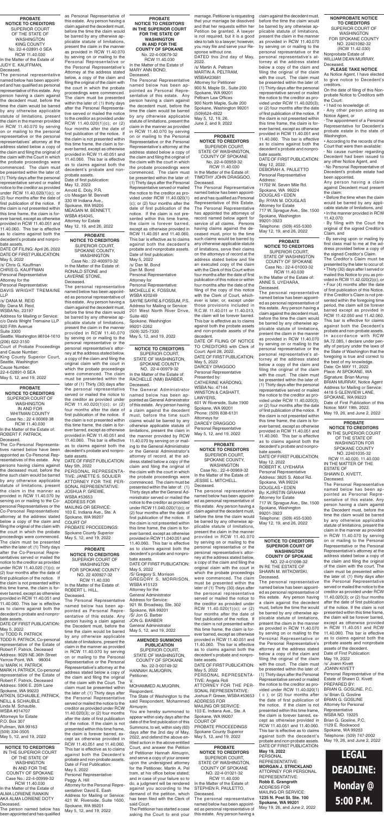**NOTICE TO CREDITORS** SUPERIOR COURT, STATE OF WASHINGTON, SPOKANE COUNTY NO. 22-4-00979-32

In the Matter of the Estate of: RACHELLE (NMI) BARBER, Deceased.

The General Administrator named below has been appointed as General Administrator of this estate. Any person having a claim against the decedent must, before the time such claims would be barred by any otherwise applicable statute of limitations, present the claim in the manner provided by RCW 11.40.070 by serving on or mailing to the General Administrator or the General Administrator's attorney of record, at the address stated below a copy of the claim and filing the original of the claim with the court in which the probate proceedings were

commenced. The claim must be presented within the later of: (1) Thirty days after the General Administrator served or mailed the notice to the creditor as provided under RCW 11.040.020(1)(c); or (2) four months after the date of first publication of the notice. If the claim is not presented within this time frame, the claim is forever barred, except as otherwise provided in RCW 11.040.051 and 11.40.060. This bar is effective as to claims against both the decedent's probate and nonprobate assets.

DATE OF FIRST PUBLICATION: May 5, 2022 /S/ Gregory S. Morrison GREGORY S. MORRISON, WSBA #15123 Attorney for the General Administrator Address for Service: 921 W. Broadway, Ste. 302 Spokane, WA 99201 /S/ Jon G. Barber JON G. BARBER General Administrator May 5, 12, and 19, 2022

**PROBATE NOTICE TO CREDITORS** SUPERIOR COURT OF WASHINGTON IN AND FOR WHITMAN COUNTY Case No.: 22 4 00069 38 RCW 11.40.030 In the Matter of the Estate of:

ROBERT F. PATRICK, Deceased.

The Co-Personal Representatives named below have been appointed as Co-Personal Representatives of this estate. Any persons having claims against the deceased must, before the time such claim would be barred by any otherwise applicable statute of limitations, present the claim in the manner as provided in RCW 11.40.070 by serving on or mailing to the Copersonal Representatives or the Co-Personal Representatives' attorney at the address stated below a copy of the claim and filing the original of the claim with the court in which the probate proceedings were commenced. The claim must be presented within the later of: (1) Thirty days after the Co-Personal Representatives served or mailed the notice to the creditor as provided under RCW 11.40.020 (1)(c); or (2) four months after the date of first publication of the notice. If the claim is not presented within this time frame, the claim is forever barred, except as otherwise provided in RCW 11.40.051 and 11.40.060. This bar is effective as to claims against both the decedent's probate and nonprobate assets.

DATE OF FIRST PUBLICATION: May 5, 2022

/s/ TODD R. PATRICK TODD R. PATRICK, Co-personal representative of the Estate of Robert F. Patrick, Deceased Address: 9029 NE 36th Street Yarrow Point, WA 98004 /s/ MARK H. PATRICK MARK H. PATRICK, Co-personal representative of the Estate of Robert F. Patrick, Deceased Address: 5906 E. 25th Lane Spokane, WA 99223 AITKEN, SCHAUBLE, PATRICK, NEILL & SCHAUBLE Linda M. Schauble, WSBA #014707 Attorneys for Estate P.O. Box 307 Pullman, WA 99163 (509) 334-3505 May 5, 12, and 19, 2022

**PROBATE NOTICE TO CREDITORS** SUPERIOR COURT OF WASHINGTON FOR SPOKANE COUNTY NO. 22 400927-32 RCW 11.40.030 In the Matter of the Estate of: ROBERT L. HILL, Deceased.

The Personal Representative named below has been appointed as Personal Representative of this estate. Any person having a claim against the Decedent must, before the time the claim would be barred by any otherwise applicable statute of limitations, present the claim in the manner as provided in RCW 11.40.070 by serving on or mailing to the Personal Representative or the Personal Representative's attorney at the address stated below a copy of the claim and filing the original of the claim with the Court. The claim must be presented within the later of: (1) Thirty days after the Personal Representative served or mailed the notice to the creditor as provided under RCW 11.40.020(3); or (2) four months after the date of first publication of the notice. If the claim is not presented within this time frame, the claim is forever barred, except as otherwise provided in RCW 11.40.051 and 11.40.060. This bar is effective as to claims against both the Decedent's probate and non-probate assets. Date of First Publication: May 5, 2022 Personal Representative: Peggy A. Hill Attorney for the Personal Representative: David E. Eash Address for Mailing or Service: 421 W. Riverside, Suite 1600, Spokane, WA 99201

May 5, 12, and 19, 2022

**PROBATE NOTICE TO CREDITORS** SUPERIOR COURT OF THE STATE OF WASHINGTON KING COUNTY No. 22-4-02891-0 SEA RCW 11.40.030 In the Matter of the Estate of JUDY E. KAUFFMAN, Deceased.

The personal representative named below has been appointed and has qualified as personal representative of this estate. Any person having a claim against the decedent must, before the time the claim would be barred by any otherwise applicable statute of limitations, present the claim in the manner provided in RCW 11.40.070 by serving on or mailing to the personal representative or the personal representatives' attorney at the address stated below a copy of the claim and filing the original of the claim with the Court in which the probate proceedings were commenced. The claim must be presented within the later of: (1) Thirty days after the personal representative served or mailed notice to the creditor as provided under RCW 11.40.020(1)(c); or (2) four months after the date of first publication of the notice. If the claim is not presented within this time frame, the claim is forever barred, except as otherwise provided in RCW 11.40.051 and 11.40.060. This bar is effective as to claims against both the decedent's probate and nonpro-

bate assets. DATE OF FILING: April 26, 2022 DATE OF FIRST PUBLICATION: May 5, 2022

/s/ Chris G. Kauffman CHRIS G. KAUFFMAN Personal Representative

Attorney for the Personal Representative: DAVIS WRIGHT TREMAINE

LLP /s/ DANA M. REID

By: Dana M. Reid,

WSBA No. 23197 Address for Mailing or Service: c/o Davis Wright Tremaine LLP

920 Fifth Avenue Suite 3300

Seattle, Washington 98104-1610 (206) 622-3150

Court of Probate Proceedings and Cause Number:

King County Superior Court, Seattle, Washington

Cause Number: 22-4-02891-0 SEA

May 5, 12, and 19, 2022

#### **PROBATE NOTICE TO CREDITORS**

SUPERIOR COURT, STATE OF WASHINGTON, COUNTY OF SPOKANE No. 22-4-00959-32

RCW 11.40.030 In the Matter of the Estate of: TIMOTHY JOHN DRAGGOO,

Deceased. The Personal Representative named below has been appointed and has qualified as Personal Representative of this Estate. The Personal Representative has appointed the attorneys of record named below agent for service of all claims. Persons having claims against the deceased must, prior to the time such claims would be barred by any otherwise applicable statute of limitations, serve their claims on the attorneys of record at the address stated below and file an executed copy of the claim with the Clerk of this Court within four months after the date of first publication of this notice or within four months after the date of the filing of the copy of this notice with the Clerk of Court, whichever is later, or, except under those provisions included in R.C.W. 11.40.011 or 11.40.013, the claim will be forever barred. This bar is effective as to claims against both the probate assets and non-probate assets of the decedent.

asking the Court to end your this estate. Any person having a The Petitioner has started a case

DATE OF FILING OF NOTICE TO CREDITORS with Clerk of Court: April 28, 2022. DATE OF FIRST PUBLICATION: May 5, 2022 DARCEY DRAGGOO Personal Representative Presented by: CATHERINE KARDONG, WSBA No. 47144 WINSTON & CASHATT, LAWYERS, 601 W Riverside, Suite 1900 Spokane, WA 99201 Phone: (509) 838-6131 Attorneys for DARCEY DRAGGOO Personal Representative May 5, 12, and 19, 2022

**PROBATE NOTICE TO CREDITORS IN THE SUPERIOR COURT FOR THE STATE OF WASHINGTON IN AND FOR THE COUNTY OF SPOKANE** No. 22-4-00679-32 RCW 11.40.030 In the Matter of the Estate of

MARY ANN BOND, Deceased.

The Personal Representative named below has been appointed as Personal Representative of this estate. Any person having a claim against the decedent must, before the time the claim would be barred by any otherwise applicable statute of limitations, present the claim in the manner as provided in RCW 11.40.070 by serving on or mailing to the Personal Representative or the Personal Representative's attorney at the address stated below a copy of the claim and filing the original of the claim with the court in which the probate proceedings were commenced. The claim must be presented within the later of: (1) Thirty days after the Personal Representative served or mailed the notice to the creditor as provided under RCW 11.40.020(1) (c); or (2) four months after the date of first publication of the notice. If the claim is not presented within this time frame, the claim is forever barred, except as otherwise provided in RCW 11.40.051 and 11.40.060. This bar is effective as to claims against both the decedent's probate and nonprobate assets. Date of first publication: May 5, 2022 /s/ Dan M. Bond

Dan M. Bond Personal Representative Attorney for Personal Representative: MICHELLE K. FOSSUM, WSBA #20249 SAYRE SAYRE & FOSSUM, P.S. Address for Mailing or Service: 201 West North River Drive, Suite 460 Spokane, Washington 99201-2262 (509) 325-7330 May 5, 12, and 19, 2022

**PROBATE NOTICE TO CREDITORS** SUPERIOR COURT, SPOKANE COUNTY, WASHINGTON Case No.: 22-400970-32 In the Matter of the Estate of: RONALD STONE and LAVERNE STONE, Deceased.

The appointment of a Personal Representative for Decedent's probate estate in the state of Washington.

The personal representative named below has been appointed as personal representative of this estate. Any person having a claim against the decedent must, before the time the claim would be barred by any otherwise applicable statute of limitations, present the claim in the manner provided in RCW 11.40.070 by serving on or mailing to the personal representative or the personal representative's attorney at the address stated below, a copy of the claim and filing the original claim with the court in which the probate proceedings were commenced. The claim must be presented within the later of (1) Thirty (30) days after the personal representative served or mailed the notice to the creditor as provided under RCW 11.40.020(1)(c); or (2) four months after the date of first publication of the notice. If the claim is not presented within this time frame, the claim is forever barred, except as otherwise provided in RCW 11.40.051 and 11.40.060. This bar is effective as to claims against both the decedent's probate and nonpro-

According to the records of the Court that were then available: ∙ No cause number regarding Decedent had been issued to any other Notice Agent, and

bate assets. DATE OF FIRST PUBLICATION: May 5th, 2022

PERSONAL REPRESENTA-TIVE: JANETTE S. SOULIER

ATTORNEY FOR THE PER-SONAL REPRESENTATIVE: JOSHUA P. GREWE, WSBA #53653 ADDRESS FOR MAILING OR SERVICE: 103 E. Indiana Ave., Ste. A Spokane, WA 99207 COURT OF PROBATE PROCEEDINGS: Spokane County Superior May 5, 12, and 19, 2022

**PROBATE** 

**NOTICE TO CREDITORS** SUPERIOR COURT, SPOKANE COUNTY, WASHINGTON Case No.: 22-4-00969-32 In the Matter of the Estate of:

JESSIE L. MITCHELL, Deceased.

The personal representative named below has been appointed as personal representative of this estate. Any person having a claim against the decedent must, before the time the claim would be barred by any otherwise applicable statute of limitations, present the claim in the manner provided in RCW 11.40.070 by serving on or mailing to the personal representative or the personal representative's attorney at the address stated below, a copy of the claim and filing the original claim with the court in which the probate proceedings were commenced. The claim must be presented within the later of (1) Thirty (30) days after the personal representative served or mailed the notice to the creditor as provided under RCW 11.40.020(1)(c); or (2) four months after the date of first publication of the notice. If the claim is not presented within this time frame, the claim is forever barred, except as otherwise provided in RCW 11.40.051 and 11.40.060. This bar is effective as to claims against both the decedent's probate and nonprobate assets.

DATE OF FIRST PUBLICATION: May 5, 2022 PERSONAL REPRESENTA-TIVE: Angela Roll ATTORNEY FOR THE PER-SONAL REPRESENTATIVE: Joshua P. Grewe, WSBA #53653 ADDRESS FOR MAILING OR SERVICE: 103 E. Indiana Ave., Ste. A Spokane, WA 99207 COURT OF PROBATE PROCEEDINGS Spokane County Superior May 5, 12, and 19, 2022

**NOTICE TO CREDITORS** IN THE SUPERIOR COURT OF THE STATE OF WASHINGTON IN AND FOR THE COUNTY OF SPOKANE Case No.: 22-4-00999-32 RCW 11.40.030 In the Matter of the Estate of ALMA LORIENE RANKIN AKA ALMA LORIENE DOTY Deceased.

The person named below has been appointed and has qualified

**PROBATE NOTICE TO CREDITORS** SUPERIOR COURT, STATE OF WASHINGTON COUNTY OF SPOKANE Case No.: 22-4-01003-32 RCW 11.40.030

In the Matter of the Estate of: ANNE S. UYEHARA, Deceased.

The personal representative named below has been appointed as personal representative of this estate. Any person having a claim against the decedent must, before the time the claim would be barred by any otherwise applicable statute of limitations, present the claim in the manner as provided in RCW 11.40.070 by serving on or mailing to the personal representative or the personal representative's attorney at the address stated below a copy of the claim and filing the original of the claim with the court. The claim must be presented within the later of: (1) Thirty days after the personal representative served or mailed the notice to the creditor as provided under RCW 11.40.020(3); or (2) four months after the date of first publication of the notice. If the claim is not presented within this time frame, the claim is forever barred, except as otherwise provided in RCW 11.40.051 and 11.40.060. This bar is effective as to claims against both the decedent's probate and nonprobate assets.

DATE OF FIRST PUBLICATION: May 12, 2022 ROBERT K. UYEHARA Personal Representative Address: 3825 S. Abbot Rd.

Spokane, WA 99224 DOUGLAS • EDEN By: KJIRSTIN GRAHAM Attorney for Estate 717 W. Sprague Ave., Ste. 1500 Spokane, Washington 99201-3923 Telephone: (509) 455-5300 May 12, 19, and 26, 2022

**PROBATE NOTICE TO CREDITORS** SUPERIOR COURT, STATE OF WASHINGTON, COUNTY OF SPOKANE NO. 22-4-01021-32 RCW 11.40.030

In the Matter of the Estate of: STEPHEN R. PAULETTO, Deceased.

The personal representative named below has been appointed as personal representative of

**AMENDED SUMMONS PUBLICATION** SUPERIOR COURT, STATE OF WASHINGTON, COUNTY OF SPOKANE No. 22-3-00749-32

HANNAH ALMUQRIN, Petitioner, V.

#### MOHAMMED ALMUQRIN, Respondent.

The State of Washington to the said Respondent, Mohammed Alrnuqrin:

You are hereby summoned to appear within sixty days after the date of the first publication of this Summons, to wit, within sixty (60) days after the 2nd day of May, 2022, and defend the above entitled action in the above entitled Court, and answer the Petition of Petitioner Hannah Almuqrin, and serve a copy of your answer upon the undersigned attorney for the Petitioner, Martin A. Pel tram, at his office below stated; and in case of your failure so to do, a judgment will be rendered against you according to the demand of the petition, which has been filed with the Clerk of said Court.

as Personal Representative of this estate. Any person having a claim against the decedent must, before the time the claim would be barred by any otherwise applicable statute of limitations, present the claim in the manner as provided in RCW 11.40.070 by serving on or mailing to the Personal Representative or the Personal Representative's Attorney at the address stated below, a copy of the claim and filing the original of the claim with the court in which the probate proceedings were commenced. The claim must be presented within the later of: (1) thirty days after the Personal Representative served or mailed the notice to the creditor as provided under RCW 11.40.020(1)(c); or (2) four months after the date of first publication of the notice. If the claim is not presented within this time frame, the claim is forever barred, except as otherwise provided in RCW 11.40.051 and 11.40.060. This bar is effective as to claims against both the decedent's probate and nonprobate assets.

Date of first publication: May 12, 2022 Arnold E. Doty, P.R. c/o Meagan M. Bennett 330 W Indiana Ave., Spokane, WA 99205 MEAGAN M. BENNETT, WSBA #54045, Attorney for Estate May 12, 19, and 26, 2022 marriage. Petitioner is requesting that your marriage be dissolved and that her requests within her Petition be granted. A lawyer is not required, but it is a good idea to talk to a lawyer; however, you may file and serve your Response without one. DATED this 2nd day of May,

2022. /s/ Martin A. Peltram MARTIN A. PELTRAM, WSBA#23681 Attorney for Petitioner 900 N. Maple St., Suite 200 Spokane, WA 99201 Peltram Law Offices 900 North Maple, Suite 200 Spokane, Washington 99201 (509)624-4922 May 5, 12, 19, 26, June 2, and 9, 2022

claim against the decedent must, before the time the claim would be barred by any otherwise applicable statute of limitations, present the claim in the manner as provided in RCW 11.40.070 by serving on or mailing to the personal representative or the personal representative's attorney at the address stated below a copy of the claim and filing the original of the claim with the court. The claim must be presented within the later of: (1) Thirty days after the personal representative served or mailed the notice to the creditor as provided under RCW 11.40.020(3); or (2) four months after the date of first publication of the notice. If the claim is not presented within this time frame, the claim is forever barred, except as otherwise provided in RCW 11.40.051 and 11.40.060. This bar is effective as to claims against both the decedent's probate and nonprobate assets. DATE OF FIRST PUBLICATION: May 12, 2022. DEBORAH A. PAULETTO Personal Representative Address:

11702 W. Seven Mile Rd. Spokane, WA 99224 DOUGLAS • EDEN By: RYAN M. DOUGLAS Attorney for Estate 717 W. Sprague Ave., Ste. 1500 Spokane, Washington 99201-3923

Telephone: (509) 455-5300 May 12, 19, and 26, 2022

#### **NOTICE TO CREDITORS SUPERIOR COURT OF WASHINGTON COUNTY OF SPOKANE** NO. 22-4-01098-32 IN RE THE ESTATE OF SHAWN M. WITKOWSKI,

Deceased. The personal representative named below has been appointed as personal representative of this estate. Any person having a claim against the decedent must, before the time the would be barred by any otherwise applicable statute of limitations, present the claim in the manner as provided in RCW 11.40.070 by serving on or mailing to the Personal Representative or the Personal Representative's attorney at the address stated below a copy of the claim and filing the original of the claim with the court. The claim must be presented within the later of: (1) Thirty days after the Personal Representative served or mailed the notice to the creditor as provided under RCW 11.40.020(1) ( c ); or (2) four months after the date of first publication of the notice. If the claim is not presented within this time frame, the claim is forever barred, except as otherwise provided in RCW 11.40.051 and 11.40.060. This bar is effective as to claims against both the decedent's probate and non-probate assets. DATE OF FIRST PUBLICATION:

**May 19, 2022** PERSONAL REPRESENTATIVE: **MORGAN J. STRICKLAND** ATTORNEY FOR PERSONAL REPRESENTATIVE: **Robb E. Grangroth** ADDRESS FOR MAILING OR SERVICE: **1235 N. Post St. Ste. 100 Spokane, WA 99201** May 19, 26, and June 2, 2022

#### **NONPROBATE NOTICE TO CREDITORS**

SUPERIOR COURT OF WASHINGTON FOR SPOKANE COUNTY NO. 22401082-32 (RCW 11.42.030) Nonprobate Estate of WILLIAM DEAN MURRAY, Deceased.

#### **PLEASE TAKE NOTICE**

As Notice Agent, I have elected to give notice to Decedent's creditors.

On the date of filing of this Nonprobate Notice to Creditors with the Court:

• I had no knowledge of:

∙ Any other person acting as Notice Agent, or

∙ No Personal Representative of Decedent's probate estate had been appointed.

Any person having a claim against Decedent must present the claim:

• Before the time when the claim would be barred by any applicable statute of limitations, and • In the manner provided in RCW 11.42.070:

∙ By filing with the Court the original of the signed Creditor's Claim, and

∙ By serving upon or mailing by first class mail to me at the address provided below a copy of the signed Creditor's Claim.

The Creditor's Claim must be presented by the later to occur of: • Thirty (30) days after I served or mailed this Notice to you as provided in RCW 11.42.020(2)(c), or • Four (4) months after the date of first publication of this Notice. If the Creditor's Claim is not presented within the foregoing time period, the claim will be forever barred except as provided in RCW 11.42.050 and 11.42.060. This bar is effective for claims against both the Decedent's probate and non-probate assets. In accordance with RCW 9A.72.085, I declare under penalty of perjury under the laws of the State of Washington that the foregoing is true and correct to the best of my knowledge. Date: On MAY 11, 2022 Place: At SPOKANE, WA Signature: Brian Murray BRIAN MURRAY, Notice Agent Address for Mailing or Service: 4418 S GLENVIEW LANE, SPOKANE, WA 99223 Date of First Publication of this Notice: MAY 19th, 2022. May 19, 26, and June 2, 2022

**PROBATE NOTICE TO CREDITORS** IN THE SUPERIOR COURT OF THE STATE OF WASHINGTON FOR SPOKANE COUNTY NO. 22401035-32 RCW 11.40.020, 11.40.030 IN THE MATTER OF THE ESTATE OF SHAWN D. KIVETT, Deceased.

The Personal Representative named below has been appointed as Personal Representative of this estate. Any person having a claim against the Decedent must, before the time the claim would be barred by any otherwise applicable statute of limitations, present the claim in the manner as provided in RCW 11.40.070 by serving on or mailing to the Personal Representative or the Personal Representative's attorney at the address stated below a copy of the claim and filing the original of the claim with the court. The claim must be presented within the later of: (1) thirty days after the Personal Representative served or mailed the notice to the creditor as provided under RCW 11.40.020(3); or (2) four months after the date of first publication of the notice. If the claim is not presented within this time frame, the claim will be forever barred, except as otherwise provided in RCW 11.40.051 and RCW 11.40.060. This bar is effective as to claims against both the probate assets and nonprobate assets of the decedent. Date of First Publication: May 19, 2022 /s/ Joann Kivett JOANN KIVETT Personal Representative of the Estate of Shawn D. Kivett PREPARED BY: BRIAN G. GOSLINE, P.C. /s/ Brian G. Gosline BRIAN G. GOSLINE Attorney for Personal Representative WSBA NO. 19225 Brian G. Gosline, P.C. 1129 E. Rockwood Spokane, WA 99203 Telephone: (509) 747-2002 May 19, 26, and June 2, 2022

# **LEGAL DEADLINE: Monday @ 5:00 P.M.**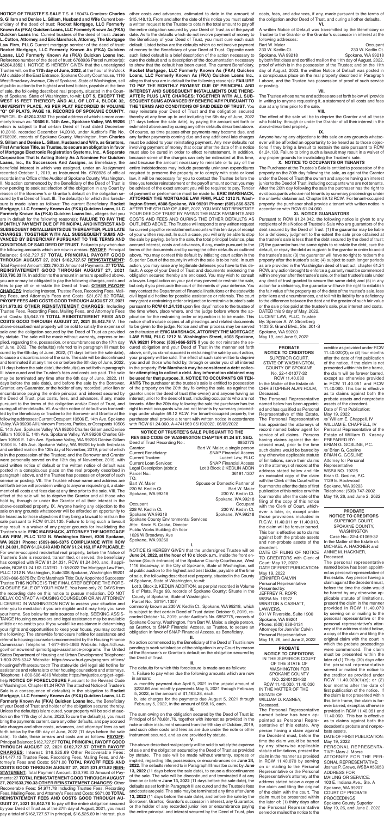#### **PROBATE NOTICE TO CREDITORS** SUPERIOR COURT SPOKANE COUNTY, WASHINGTON Case No.: 22-4-01069-32 In the Matter of the Estate of: MICHAEL A. HACKNER and ANNIE M. HACKNER, Deceased.

The personal representative named below has been appointed as personal representative of this estate. Any person having a claim against the decedent must, before the time the claim would be barred by any otherwise applicable statute of limitations, present the claim in the manner provided in RCW 11.40.070 by serving on or mailing to the personal representative or the personal representative's attorney at the address stated below, a copy of the claim and filing the original claim with the court in which the probate proceedings were commenced. The claim must be presented within the later of (1) Thirty (30) days after the personal representative served or mailed the notice to the creditor as provided under RCW 11.40.020(1)(c); or (2) four months after the date of first publication of the notice. If the claim is not presented within this time frame, the claim is forever barred, except as otherwise provided in RCW 11.40.051 and 11.40.060. This bar is effective as to claims against both the decedent's probate and nonprobate assets.

**NOTICE OF TRUSTEE'S SALE PURSUANT TO THE REVISED CODE OF WASHINGTON CHAPTER 61.24 ET. SEQ.** Deed of Trust Recording No.: 6852775 Grantor: **Bart W. Maier, a single person** Current Beneficiary: SNAP Financial Access Lucent Law, PLLC Current Loan Servicer: SNAP Financial Access Legal Description (abbr.): Lot 3 Block 2 KEDLIN ADDN Parcel No.: 36191.1307

> DATE OF FIRST PUBLICATION: May 19, 2022 PERSONAL REPRESENTA-TIVE: Mary J. Morse ATTORNEY FOR THE PER-SONAL REPRESENTATIVE: Joshua P. Grewe, WSBA #53653 ADDRESS FOR MAILING OR SERVICE: 103 E. Indiana Ave., Ste. A Spokane, WA 99207 COURT OF PROBATE PROCEEDINGS Spokane County Superior May 19, 26, and June 2, 2022

**PROBATE** 

Occupant Occupant<br>228 W. Kedlin Ct. 230 W. Kedlin Ct. Spokane WA 99218 Spokane, WA 99218 Spokane County Environmental Services Attn: Kevin R. Cooke, Director Public Works Building 4th floor 1026 W Broadway Ave Spokane, WA 99260

> **NOTICE TO CREDITORS** IN THE SUPERIOR COURT OF THE STATE OF WASHINGTON FOR SPOKANE COUNTY NO. 22401034-32 RCW 11.40.020, 11.40.030 IN THE MATTER OF THE ESTATE OF WILLIAM D. KASNEY, Deceased.

The Personal Representative named below has been appointed as Personal Representative of this estate. Any person having a claim against the Decedent must, before the time the claim would be barred by any otherwise applicable statute of limitations, present the claim in the manner as provided in RCW 11.40.070 by serving on or mailing to the Personal Representative or the Personal Representative's attorney at the address stated below a copy of the claim and filing the original of the claim with the court. The claim must be presented within the later of: (1) thirty days after the Personal Representative served or mailed the notice to the

TO:

**I.**

**June 24, 2022, at the hour of 10 o'clock a.m.**, inside the front en-

1116 Broadway, in the City of Spokane, State of Washington, sell

of Spokane, State of Washington, to-wit:

County of Spokane, State of Washington.

Bart W. Maier Spouse or Domestic Partner of 230 W. Kedlin Ct. **Bart W. Maier** Bart W. Maier Spokane, WA 99218 230 W. Kedlin Ct. Spokane, WA 99218 230 W. Kedlin Ct.

Parcel No. 36191.1307

is subject to that certain Deed of Trust dated October 9, 2019, re-

obligation in favor of SNAP Financial Access, as Beneficiary. **II.**

No action commenced by the Beneficiary of the Deed of Trust is now pending to seek satisfaction of the obligation in any Court by reason of the Borrower's or Grantor's default on the obligation secured by the Deed of Trust. **III.**

The defaults for which this foreclosure is made are as follows: 1. Failure to pay when due the following amounts which are now

- in arrears:
- a. monthly payment due April 5, 2021 in the unpaid amount of \$232.66 and monthly payments May 5, 2021 through February 5, 2022, in the amount of \$1,163.28, each.
- b. late charges for the payments due August 5, 2021 through February 5, 2022, in the amount of \$58.16, each.

#### **IV.**

The sum owing on the obligation secured by the Deed of Trust is: Principal of \$178,681.76, together with interest as provided in the note or other instrument secured from the 9th day of October, 2019, and such other costs and fees as are due under the note or other instrument secured, and as are provided by statute.

#### **V.**

The above-described real property will be sold to satisfy the expense of sale and the obligation secured by the Deed of Trust as provided by statute. The sale will be made without warranty, express or implied, regarding title, possession, or encumbrances on **June 24, 2022**. The defaults referred to in Paragraph III must be cured by **June 13, 2022** (11 days before the sale date), to cause a discontinuance of the sale. The sale will be discontinued and terminated if at any time on or before **June 13, 2022** (11 days before the sale date), the defaults as set forth in Paragraph III are cured and the Trustee's fees and costs are paid. The sale may be terminated any time after **June 13, 2022** (11 days before the sale date), and before the sale by the Borrower, Grantor, Grantor's successor in interest, any Guarantor, or the holder of any recorded junior lien or encumbrance paying the entire principal and interest secured by the Deed of Trust, plus

**NOTICE OF TRUSTEE'S SALE** T.S. # 150474 Grantors: **Charles S. Gillam and Denise L. Gillam, Husband and Wife** Current beneficiary of the deed of trust: **Rocket Mortgage, LLC Formerly Known As (FKA) Quicken Loans, LLC Formerly Known As (FKA) Quicken Loans Inc**. Current trustees of the deed of trust: **Jason L. Cotton, Attorney, and Eric Marshack, Attorney, The Mortgage Law Firm, PLLC** Current mortgage servicer of the deed of trust: **Rocket Mortgage, LLC Formerly Known As (FKA) Quicken Loans, LLC Formerly Known As (FKA) Quicken Loans Inc.** Reference number of the deed of trust: 6768936 Parcel number(s): **45204.3352** I. NOTICE IS HEREBY GIVEN that the undersigned Trustee will, on the **17th day of June, 2022**, at the hour of 9 o'clock AM outside of the East Entrance, Spokane County Courthouse, 1116 West Broadway Avenue, City of Spokane, State of Washington, sell at public auction to the highest and best bidder, payable at the time of sale, the following described real property, situated in the County of Spokane, State of Washington, to-wit: **LOT 5, EXCEPT THE WEST 15 FEET THEREOF; AND ALL OF LOT 4, BLOCK 32, UNIVERSITY PLACE, AS PER PLAT RECORDED IN VOLUME "Q" OF PLATS, PAGE 19, RECORDS OF SPOKANE COUNTY**. PARCEL ID: **45204.3352** The postal address of which is more commonly known as: **10506 E. 14th Ave., Spokane Valley, WA 99206**  which is subject to that certain Deed of Trust dated December 10,2018, recorded December 14,2018, under Auditor's File No. 6768936, records of Spokane County, Washington, from **Charles S. Gillam and Denise L. Gillam, Husband and Wife, as Grantors, First American Title, as Trustee, to secure an obligation in favor of Mortgage Electronic Registration Systems, Inc., A Separate Corporation That Is Acting Solely As A Nominee For Quicken Loans, Inc., Its Successors And Assigns**, as Beneficiary, the beneficial interest in which was assigned, under an Assignment recorded October 1, 2019, as Instrument No. 6768936 of official records in the Office of the Auditor of Spokane County, Washington. II. No action commenced by the Beneficiary of the Deed of Trust is now pending to seek satisfaction of the obligation in any Court by reason of the Borrower's or Grantor's default on the obligation secured by the Deed of Trust. III. The default(s) for which this foreclosure is made is/are as follows: The current Beneficiary, **Rocket Mortgage, LLC Formerly Known As (FKA) Quicken Loans, LLC Formerly Known As (FKA) Quicken Loans Inc.**, alleges that you are in default for the following reason(s): **FAILURE TO PAY THE MONTHLY PAYMENT DUE OF PRINCIPAL AND INTEREST AND SUBSEQUENT INSTALLMENTS DUE THEREAFTER; PLUS LATE CHARGES; TOGETHER WITH ALL SUBSEQUENT SUMS AD-VANCED BY BENEFICIARY PURSUANT TO THE TERMS AND CONDITIONS OF SAID DEED OF TRUST**. Failure to pay when due the following amounts which are now in arrears: **PAYOFF**: Principal Balance: \$162,727.57 **TOTAL PRINCIPAL PAYOFF GOOD THROUGH AUGUST 27, 2021 \$162,727.57 REINSTATEMENT:**  Total Payment Amount: \$33,790.33 Amount of Payments: 27 **TOTAL REINSTATEMENT GOOD THROUGH AUGUST 27, 2021 \$33,790.33** IV. In addition to the amount in arrears specified above, you are or may be obligated to pay the following charges, costs and fees to pay off or reinstate the Deed of Trust: **OTHER PAYOFF CHARGES**: Including Interest, Trustee Fees, Recording Fees, Mailing Fees, and Attorney's Fees and Costs: \$31,673.82 **TOTAL PAYOFF FEES AND COSTS GOOD THROUGH AUGUST 27, 2021 \$31,673.82 OTHER REINSTATEMENT CHARGES**: Including Trustee Fees, Recording Fees, Mailing Fees, and Attorney's Fees and Costs: \$5,642.78 **TOTAL REINSTATEMENT FEES AND COSTS GOOD THROUGH AUGUST 27, 2021 \$5,642.78** V. The above-described real property will be sold to satisfy the expense of sale and the obligation secured by the Deed of Trust as provided by statute. The sale will be made without warranty, express or implied, regarding title, possession, or encumbrances on the 17th day of June, 2022. The default(s) referred to in paragraph III must be cured by the 6th day of June, 2022, (11 days before the sale date), to cause a discontinuance of the sale. The sale will be discontinued and terminated if at any time on or before the 6th day of June, 2022, (11 days before the sale date), the default(s) as set forth in paragraph III is/are cured and the Trustee's fees and costs are paid. The sale may be terminated any time after the 6th day of June, 2022, (11 days before the sale date), and before the sale by the Borrower, Grantor, any Guarantor, or the holder of any recorded junior lien or encumbrance paying the entire principal and interest secured by the Deed of Trust, plus costs, fees, and advances, if any, made pursuant to the terms of the obligation and/or Deed of Trust, and curing all other defaults. VI. A written notice of default was transmitted by the Beneficiary or Trustee to the Borrower and Grantor at the following addresses: Current Occupant 10506 E. 14th Ave. Spokane Valley, WA 99206 All Unknown Persons, Parties, or Occupants 10506 E. 14th Ave. Spokane Valley, WA 99206 Charles Gillam and Denise Gillam 10506 E. 14th Ave. Spokane Valley, WA 99206 Charles Gillam 10506 E. 14th Ave. Spokane Valley, WA 99206 Denise Gillam 10506 E. 14th Ave. Spokane Valley, WA 99206 by both first-class and certified mail on the 13th day of November, 2019, proof of which is in the possession of the Trustee; and the Borrower and Grantor were personally served on the 13th day of November, 2019, with said written notice of default or the written notice of default was posted in a conspicuous place on the real property described in paragraph I above, and the Trustee has possession of proof of such service or posting. VII. The Trustee whose name and address are set forth below will provide in writing to anyone requesting it, a statement of all costs and fees due at any time prior to the sale. VIII. The effect of the sale will be to deprive the Grantor and all those who hold by, through or under the Grantor of all their interest in the above-described property. IX. Anyone having any objection to the sale on any grounds whatsoever will be afforded an opportunity to be heard as to those objections if they bring a lawsuit to restrain the sale pursuant to RCW 61.24.130. Failure to bring such a lawsuit may result in a waiver of any proper grounds for invalidating the Trustee's sale. **ERIC MARSHACK, ATTORNEY THE MORTGAGE LAW FIRM, PLLC 1212 N. Washington Street, #308 Spokane, WA 99201 Phone: (509)-866-5375 COMPLIANCE WITH RCW 61.24.031, RCW 61.24.040 AND RCW 61.24.163, IF APPLICABLE**: For owner-occupied residential real property, before the Notice of Trustee's Sale is recorded, transmitted, or served, the beneficiary has complied with RCW 61.24.031, RCW 61,24.040, and, if applicable, RCW 61.24.163. DATED:. 1-18-2022 The Mortgage Law Firm, PLLC 1212 N. Washington, Suite 308 Spokane, Washington 99201 (509)-866-5375 By: Eric Marshack Title: Duly Appointed Successor Trustee THIS NOTICE IS THE FINAL STEP BEFORE THE FORE-CLOSURE SALE OF YOUR HOME. You have only 20 DAYS from the recording date on this notice to pursue mediation. DO NOT DELAY. CONTACT A HOUSING COUNSELOR OR AN ATTORNEY LICENSED IN WASHINGTON NOW to assess your situation and refer you to mediation if you are eligible and it may help you save your home. See below for safe sources of help. SEEKING ASSIS-TANCE Housing counselors and legal assistance may be available at little or no cost to you. If you would like assistance in determining your rights and opportunities to keep your house, you may contact the following: The statewide foreclosure hotline for assistance and referral to housing counselors recommended by the Housing Finance Commission Telephone: 1-877-894-4663 Website: https://dfi.wa. gov/homeownership/mortgage-assistance-programs The United States Department of Housing and Urban Development Telephone: 1-800-225-5342 Website: https://www.hud.gov/program offices/ housing/sfh/fharesourcectr The statewide civil legal aid hotline for assistance and referrals to other housing counselors and attorneys. Telephone: 1-800-606-4819 Website: https://nwjustice.org/get-legalhelp **NOTICE OF FORECLOSURE** Pursuant to the Revised Code of Washington, Chapter 61.24 RCW The attached Notice of Trustee's Sale is a consequence of default/s) in the obligation to **Rocket Mortgage, LLC Formerly Known As (FKA) Quicken Loans, LLC Formerly Known As (FKA) Quicken Loans Inc.**, the Beneficiary of your Deed of Trust and holder of the obligation secured thereby. Unless the default(s) is/are cured, your property will be sold at auction on the 17th day of June, 2022.To cure the default(s), you must bring the payments current, cure any other defaults, and pay accrued late charges and other costs, advances, and attorneys' fees as set forth below by the 6th day of June, 2022 [11 days before the sale date]. To date, these arrears and costs are as follows: **PAYOFF**: Principal Balance: \$162,727.57 **TOTAL PRINCIPAL PAYOFF GOOD THROUGH AUGUST 27, 2021 \$162,727.57 OTHER PAYOFF CHARGES**: Interest: \$16,525.69 Other Recoverable Fees: \$14,477.13 Trustee Fees, Recording Fees, Mailing Fees, and Attorney's Fees and Costs: \$671.00 **TOTAL PAYOFF FEES AND COSTS GOOD THROUGH AUGUST 27, 2021 \$31,673.82 REIN-STATEMENT**: Total Payment Amount: \$33,790.33 Amount of Payments: 27 **TOTAL REINSTATEMENT GOOD THROUGH AUGUST 27, 2021\$33,790.33 OTHER REINSTATEMENT CHARGES**: Other Recoverable Fees: \$4,971.78 Including Trustee Fees, Recording Fees, Mailing Fees, and Attorney's Fees and Costs: \$671.00 **TOTAL REINSTATEMENT FEES AND COSTS GOOD THROUGH AU-GUST 27, 2021 \$5,642.78** To pay off the entire obligation secured by your Deed of Trust as of the 27th day of August, 2021, you must pay a total of \$162,727.57 in principal, \$16,525.69 in interest, plus

NOTICE IS HEREBY GIVEN that the undersigned Trustee will on trance (South entrance) of the Spokane County Courthouse, West at public auction to the highest and best bidder, payable at the time of sale, the following described real property, situated in the County Lot 3, Block 2, KEDLIN ADDITION, as per plat recorded in Volume 5 of Plats, Page 93, records of Spokane County; Situate in the commonly known as 230 W. Kedlin Ct., Spokane, WA 99218, which corded October 14, 2019, under Auditor's No. 6852775, records of Spokane County, Washington, from Bart W. Maier, a single person, as Grantor, to SNAP Financial Access, as Trustee, to secure an four months after the date of first publication of this notice or within four months after the date of the filing of the copy of this notice with the Clerk of Court, whichever is later, or, except under those provisions included in R.C.W. 11.40.011 or 11.40.013, the claim will be forever barred. This bar is effective as to claims against both the probate assets and non-probate assets of the decedent. DATE OF FILING OF NOTICE TO CREDITORS with Clerk of Court: May 12, 2022. DATE OF FIRST PUBLICATION: May 19, 2022 JENNIFER CALVIN Personal Representative Presented by: JEFFREY R. ROPP, WSBA No. 16972 WINSTON & CASHATT, LAWYERS, 601 W Riverside, Suite 1900 Spokane, WA 99201 Phone: (509) 838-6131 Attorneys for Jennifer Calvin Personal Representative May 19, 26, and June 2, 2022

other costs and advances, estimated to date in the amount of \$15,148.13. From and after the date of this notice you must submit a written request to the Trustee to obtain the total amount to pay off the entire obligation secured by your Deed of Trust as of the payoff date. As to the defaults which do not involve payment of money to the Beneficiary of your Deed of Trust, you must cure each such default. Listed below are the defaults which do not involve payment of money to the Beneficiary of your Deed of Trust. Opposite each such listed default is a brief description of the action necessary to cure the default and a description of the documentation necessary to show that the default has been cured. The current Beneficiary, **Rocket Mortgage, LLC Formerly Known As (FKA) Quicken Loans, LLC Formerly Known As (FKA) Quicken Loans Inc.**, alleges that you are in default for the following reason(s): **FAILURE TO PAY THE MONTHLY PAYMENT DUE OF PRINCIPAL AND INTEREST AND SUBSEQUENT INSTALLMENTS DUE THERE-AFTER; PLUS LATE CHARGES; TOGETHER WITH ALL SUB-SEQUENT SUMS ADVANCED BY BENEFICIARY PURSUANT TO THE TERMS AND CONDITIONS OF SAID DEED OF TRUST**. You may reinstate your Deed of Trust and the obligation secured thereby at any time up to and including the 6th day of June, 2022 [11 days before the sale date], by paying the amount set forth or estimated above and by curing any other defaults described above. Of course, as time passes other payments may become due, and any further payments coming due and any additional late charges must be added to your reinstating payment. Any new defaults not involving payment of money that occur after the date of this notice must also be cured in order to effect reinstatement. In addition, because some of the charges can only be estimated at this time, and because the amount necessary to reinstate or to pay off the entire indebtedness may include presently unknown expenditures required to preserve the property or to comply with state or local law, it will be necessary for you to contact the Trustee before the time you tender reinstatement or the payoff amount so that you may be advised of the exact amount you will be required to pay. Tender of payment or performance must be made to: **ERIC MARSHACK, ATTORNEY THE MORTGAGE LAW FIRM, PLLC 1212 N. Washington Street, #308 Spokane, WA 99201 Phone: (509)-866-5375**  AFTER THE 6TH DAY OF JUNE, 2022, YOU MAY NOT REINSTATE YOUR DEED OF TRUST BY PAYING THE BACK PAYMENTS AND COSTS AND FEES AND CURING THE OTHER DEFAULTS AS OUTLINED ABOVE. The Trustee will respond to any written request for current payoff or reinstatement amounts within ten days of receipt of your written request. In such a case, you will only be able to stop the sale by paying, before the sale, the total principal balance, plus accrued interest, costs and advances, if any, made pursuant to the terms of the documents and by curing the other defaults as outlined above. You may contest this default by initiating court action in the Superior Court of the county in which the sale is to be held. In such action, you may raise any legitimate defenses you have to this default. A copy of your Deed of Trust and documents evidencing the obligation secured thereby are enclosed. You may wish to consult a lawyer. Legal action on your part may prevent or restrain the sale, but only if you persuade the court of the merits of your defense. You may contact the Department of Financial Institutions or the statewide civil legal aid hotline for possible assistance or referrals. The court may grant a restraining order or injunction to restrain a trustee's sale pursuant to **RCW 61.24.130** upon five days' notice to the trustee of the time when, place where, and the judge before whom the application for the restraining order or injunction is to be made. This notice shall include copies of all pleadings and related documents to be given to the judge. Notice and other process may be served on the trustee at: **ERIC MARSHACK, ATTORNEY THE MORTGAGE LAW FIRM, PLLC 1212 N. Washington Street, #308 Spokane, WA 99201 Phone: (509)-866-5375** If you do not reinstate the secured obligation and your Deed of Trust in the manner set forth above, or if you do not succeed in restraining the sale by court action, your property will be sold. The effect of such sale will be to deprive you and all those who hold by, through or under you of all interest in the property. **Eric Marshack may be considered a debt collector attempting to collect a debt. Any information obtained may be used for that purpose. X. NOTICE TO OCCUPANTS OR TEN-ANTS** The purchaser at the trustee's sale is entitled to possession of the property on the 20th day following the sale, as against the grantor under the deed of trust (the owner) and anyone having an interest junior to the deed of trust, including occupants who are not tenants. After the 20th day following the sale the purchaser has the right to evict occupants who are not tenants by summary proceedings under chapter 59.12 RCW. For tenant-occupied property, the purchaser shall provide a tenant with written notice in accordance with RCW 61.24.060. A-4741569 05/19/2022, 06/09/2022

costs, fees, and advances, if any, made pursuant to the terms of the obligation and/or Deed of Trust, and curing all other defaults. **VI.**

A written Notice of Default was transmitted by the Beneficiary or Trustee to the Grantor or the Grantor's successor in interest at the following addresses:

| Bart W. Maier     | Occupant          |
|-------------------|-------------------|
| 230 W. Kedlin Ct. | 230 W. Kedlin Ct. |
| Spokane, WA 99218 | Spokane, WA 99218 |
|                   |                   |

by both first class and certified mail on the 11th day of August, 2022, proof of which is in the possession of the Trustee; and on the 11th day of August, 2022, the written Notice of Default was posted in a conspicuous place on the real property described in Paragraph I above, and the Trustee has possession of proof of such service or posting.

#### **VII.**

The Trustee whose name and address are set forth below will provide in writing to anyone requesting it, a statement of all costs and fees due at any time prior to the sale.

#### **VIII.**

The effect of the sale will be to deprive the Grantor and all those who hold by, through or under the Grantor of all their interest in the above-described property.

#### **IX.**

Anyone having any objections to this sale on any grounds whatsoever will be afforded an opportunity to be heard as to those objections if they bring a lawsuit to restrain the sale pursuant to RCW 61.24.130. Failure to bring such a lawsuit may result in a waiver of any proper grounds for invalidating the Trustee's sale.

#### **X. NOTICE TO OCCUPANTS OR TENANTS**

The Purchaser at the Trustee's Sale is entitled to possession of the property on the 20th day following the sale, as against the Grantor under the Deed of Trust (the owner) and anyone having an interest junior to the Deed of Trust, including occupants who are not tenants. After the 20th day following the sale the purchaser has the right to evict occupants who are not tenants by summary proceedings under the unlawful detainer act, Chapter 59.12 RCW. For tenant-occupied property, the purchaser shall provide a tenant with written notice in accordance with RCW 61.24.060.

### **XI. NOTICE GUARANTORS**

Pursuant to RCW 61.24.042, the following notice is given to any recipients of this Notice of Trustee's Sale who are guarantors of the debt secured by the Deed of Trust: (1) the guarantor may be liable for a deficiency judgment to the extent the sale price obtained at the trustee's sale is less than the debt secured by the deed of trust; (2) the guarantor has the same rights to reinstate the debt, cure the default, or repay the debt as is given to the grantor in order to avoid the trustee's sale; (3) the guarantor will have no right to redeem the property after the trustee's sale; (4) subject to such longer periods as are provided in the Washington deed of trust act, chapter 61.24 RCW, any action brought to enforce a guaranty must be commenced within one year after the trustee's sale, or the last trustee's sale under any deed of trust granted to secure the same debt; and (5) in any action for a deficiency, the guarantor will have the right to establish the fair value of the property as of the date of the trustee's sale, less prior liens and encumbrances, and to limit its liability for a deficiency to the difference between the debt and the greater of such fair value or the sale price paid at the trustee's sale, plus interest and costs.

DATED this 9 day of May, 2022. LUCENT LAW, PLLC, Trustee By: Spencer A. W. Stromberg 1403 S. Grand Blvd., Ste. 201-S Spokane, WA 99203 May 19, and June 9, 2022

#### **PROBATE NOTICE TO CREDITORS**

SUPERIOR COURT, STATE OF WASHINGTON, COUNTY OF SPOKANE No. 22-4-01077-32 RCW 11.40.030 In the Matter of the Estate of: CHRISTOPHER ALAN HOLM,

Deceased. The Personal Representative named below has been appointed and has qualified as Personal Representative of this Estate. The Personal Representative has appointed the attorneys of record named below agent for service of all claims. Persons having claims against the deceased must, prior to the time such claims would be barred by any otherwise applicable statute of limitations, serve their claims on the attorneys of record at the address stated below and file an executed copy of the claim with the Clerk of this Court within

creditor as provided under RCW 11.40.020(3); or (2) four months after the date of first publication of the notice. If the claim is not presented within this time frame, the claim will be forever barred, except as otherwise provided in RCW 11.40.051 and RCW 11.40.060. This bar is effective as to claims against both the probate assets and nonprobate assets of the decedent. Date of First Publication: May 19, 2022 /s/ William E. Chappell, IV WILLIAM E. CHAPPELL, IV Personal Representative of the Estate of William D. Kasney PREPARED BY: BRIAN G. GOSLINE, P.C. /s/ Brian G. Gosline BRIAN G. GOSLINE Attorney for Personal **Representative** WSBA NO. 19225 Brian G. Gosline, P.C. 1129 E. Rockwood Spokane, WA 99203 Telephone: (509) 747-2002 May 19, 26, and June 2, 2022